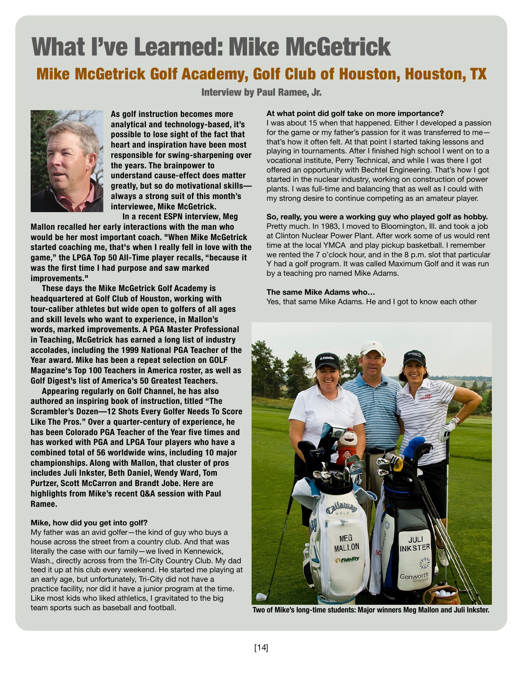# What I've Learned: Mike McGetrick Mike McGetrick Golf Academy, Golf Club of Houston, Houston, TX

Interview by Paul Ramee, Jr.



**As golf instruction becomes more analytical and technology-based, it's possible to lose sight of the fact that heart and inspiration have been most responsible for swing-sharpening over the years. The brainpower to understand cause-effect does matter greatly, but so do motivational skills always a strong suit of this month's interviewee, Mike McGetrick.** 

 **In a recent ESPN interview, Meg Mallon recalled her early interactions with the man who would be her most important coach. "When Mike McGetrick started coaching me, that's when I really fell in love with the game," the LPGA Top 50 All-Time player recalls, "because it was the first time I had purpose and saw marked improvements."**

 **These days the Mike McGetrick Golf Academy is headquartered at Golf Club of Houston, working with tour-caliber athletes but wide open to golfers of all ages and skill levels who want to experience, in Mallon's words, marked improvements. A PGA Master Professional in Teaching, McGetrick has earned a long list of industry accolades, including the 1999 National PGA Teacher of the Year award. Mike has been a repeat selection on GOLF Magazine's Top 100 Teachers in America roster, as well as Golf Digest's list of America's 50 Greatest Teachers.**

 **Appearing regularly on Golf Channel, he has also authored an inspiring book of instruction, titled "The Scrambler's Dozen—12 Shots Every Golfer Needs To Score Like The Pros." Over a quarter-century of experience, he has been Colorado PGA Teacher of the Year five times and has worked with PGA and LPGA Tour players who have a combined total of 56 worldwide wins, including 10 major championships. Along with Mallon, that cluster of pros includes Juli Inkster, Beth Daniel, Wendy Ward, Tom Purtzer, Scott McCarron and Brandt Jobe. Here are highlights from Mike's recent Q&A session with Paul Ramee.**

# **Mike, how did you get into golf?**

My father was an avid golfer—the kind of guy who buys a house across the street from a country club. And that was literally the case with our family—we lived in Kennewick, Wash., directly across from the Tri-City Country Club. My dad teed it up at his club every weekend. He started me playing at an early age, but unfortunately, Tri-City did not have a practice facility, nor did it have a junior program at the time. Like most kids who liked athletics, I gravitated to the big team sports such as baseball and football.

#### **At what point did golf take on more importance?**

I was about 15 when that happened. Either I developed a passion for the game or my father's passion for it was transferred to me that's how it often felt. At that point I started taking lessons and playing in tournaments. After I finished high school I went on to a vocational institute, Perry Technical, and while I was there I got offered an opportunity with Bechtel Engineering. That's how I got started in the nuclear industry, working on construction of power plants. I was full-time and balancing that as well as I could with my strong desire to continue competing as an amateur player.

# **So, really, you were a working guy who played golf as hobby.**

Pretty much. In 1983, I moved to Bloomington, Ill. and took a job at Clinton Nuclear Power Plant. After work some of us would rent time at the local YMCA and play pickup basketball. I remember we rented the 7 o'clock hour, and in the 8 p.m. slot that particular Y had a golf program. It was called Maximum Golf and it was run by a teaching pro named Mike Adams.

#### **The same Mike Adams who…**

Yes, that same Mike Adams. He and I got to know each other



**Two of Mike's long-time students: Major winners Meg Mallon and Juli Inkster.**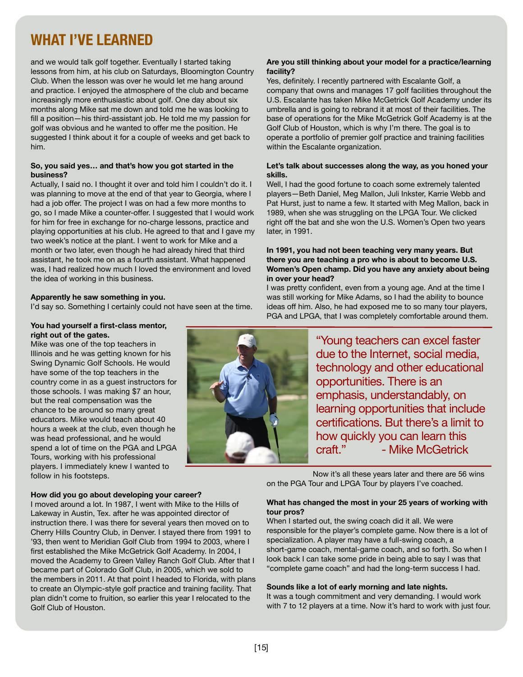# **WHAT I'VE LEARNED**

and we would talk golf together. Eventually I started taking lessons from him, at his club on Saturdays, Bloomington Country Club. When the lesson was over he would let me hang around and practice. I enjoyed the atmosphere of the club and became increasingly more enthusiastic about golf. One day about six months along Mike sat me down and told me he was looking to fill a position—his third-assistant job. He told me my passion for golf was obvious and he wanted to offer me the position. He suggested I think about it for a couple of weeks and get back to him.

#### **So, you said yes… and that's how you got started in the business?**

Actually, I said no. I thought it over and told him I couldn't do it. I was planning to move at the end of that year to Georgia, where I had a job offer. The project I was on had a few more months to go, so I made Mike a counter-offer. I suggested that I would work for him for free in exchange for no-charge lessons, practice and playing opportunities at his club. He agreed to that and I gave my two week's notice at the plant. I went to work for Mike and a month or two later, even though he had already hired that third assistant, he took me on as a fourth assistant. What happened was, I had realized how much I loved the environment and loved the idea of working in this business.

#### **Apparently he saw something in you.**

I'd say so. Something I certainly could not have seen at the time.

#### **You had yourself a first-class mentor, right out of the gates.**

Mike was one of the top teachers in Illinois and he was getting known for his Swing Dynamic Golf Schools. He would have some of the top teachers in the country come in as a guest instructors for those schools. I was making \$7 an hour, but the real compensation was the chance to be around so many great educators. Mike would teach about 40 hours a week at the club, even though he was head professional, and he would spend a lot of time on the PGA and LPGA Tours, working with his professional players. I immediately knew I wanted to follow in his footsteps.

#### **How did you go about developing your career?**

I moved around a lot. In 1987, I went with Mike to the Hills of Lakeway in Austin, Tex. after he was appointed director of instruction there. I was there for several years then moved on to Cherry Hills Country Club, in Denver. I stayed there from 1991 to '93, then went to Meridian Golf Club from 1994 to 2003, where I first established the Mike McGetrick Golf Academy. In 2004, I moved the Academy to Green Valley Ranch Golf Club. After that I became part of Colorado Golf Club, in 2005, which we sold to the members in 2011. At that point I headed to Florida, with plans to create an Olympic-style golf practice and training facility. That plan didn't come to fruition, so earlier this year I relocated to the Golf Club of Houston.

### **Are you still thinking about your model for a practice/learning facility?**

Yes, definitely. I recently partnered with Escalante Golf, a company that owns and manages 17 golf facilities throughout the U.S. Escalante has taken Mike McGetrick Golf Academy under its umbrella and is going to rebrand it at most of their facilities. The base of operations for the Mike McGetrick Golf Academy is at the Golf Club of Houston, which is why I'm there. The goal is to operate a portfolio of premier golf practice and training facilities within the Escalante organization.

#### **Let's talk about successes along the way, as you honed your skills.**

Well, I had the good fortune to coach some extremely talented players—Beth Daniel, Meg Mallon, Juli Inkster, Karrie Webb and Pat Hurst, just to name a few. It started with Meg Mallon, back in 1989, when she was struggling on the LPGA Tour. We clicked right off the bat and she won the U.S. Women's Open two years later, in 1991.

#### **In 1991, you had not been teaching very many years. But there you are teaching a pro who is about to become U.S. Women's Open champ. Did you have any anxiety about being in over your head?**

I was pretty confident, even from a young age. And at the time I was still working for Mike Adams, so I had the ability to bounce ideas off him. Also, he had exposed me to so many tour players, PGA and LPGA, that I was completely comfortable around them.



Now it's all these years later and there are 56 wins on the PGA Tour and LPGA Tour by players I've coached.

#### **What has changed the most in your 25 years of working with tour pros?**

When I started out, the swing coach did it all. We were responsible for the player's complete game. Now there is a lot of specialization. A player may have a full-swing coach, a short-game coach, mental-game coach, and so forth. So when I look back I can take some pride in being able to say I was that "complete game coach" and had the long-term success I had.

#### **Sounds like a lot of early morning and late nights.**

It was a tough commitment and very demanding. I would work with 7 to 12 players at a time. Now it's hard to work with just four.

[15]